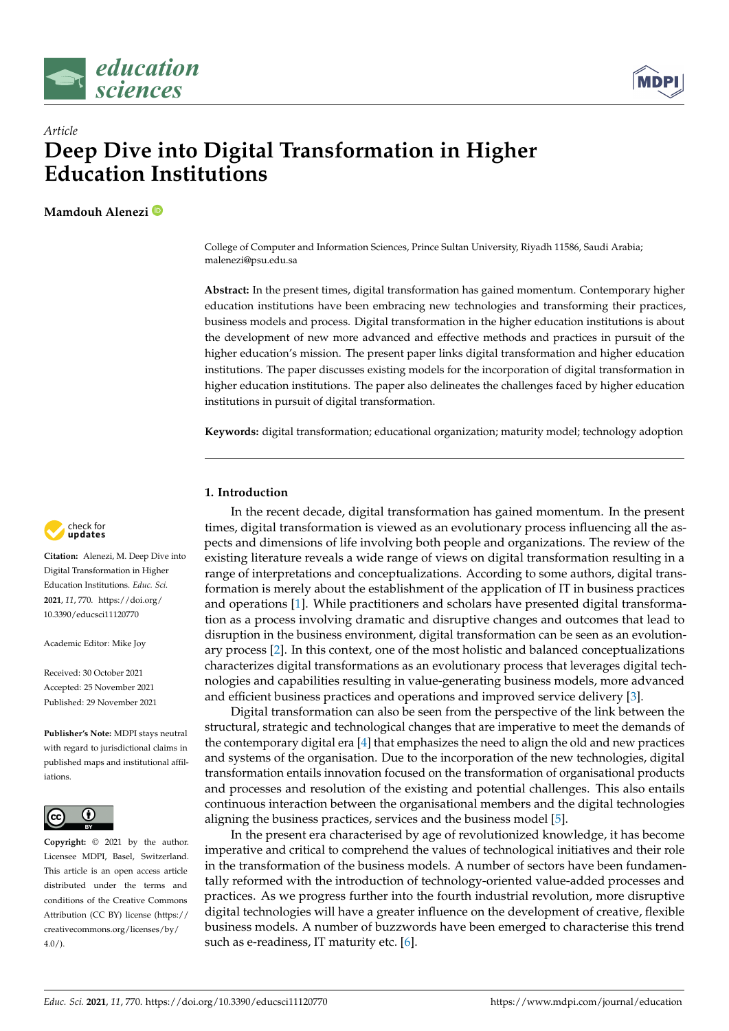



# *Article* **Deep Dive into Digital Transformation in Higher Education Institutions**

**Mamdouh Alenezi**

College of Computer and Information Sciences, Prince Sultan University, Riyadh 11586, Saudi Arabia; malenezi@psu.edu.sa

**Abstract:** In the present times, digital transformation has gained momentum. Contemporary higher education institutions have been embracing new technologies and transforming their practices, business models and process. Digital transformation in the higher education institutions is about the development of new more advanced and effective methods and practices in pursuit of the higher education's mission. The present paper links digital transformation and higher education institutions. The paper discusses existing models for the incorporation of digital transformation in higher education institutions. The paper also delineates the challenges faced by higher education institutions in pursuit of digital transformation.

**Keywords:** digital transformation; educational organization; maturity model; technology adoption

# **1. Introduction**

In the recent decade, digital transformation has gained momentum. In the present times, digital transformation is viewed as an evolutionary process influencing all the aspects and dimensions of life involving both people and organizations. The review of the existing literature reveals a wide range of views on digital transformation resulting in a range of interpretations and conceptualizations. According to some authors, digital transformation is merely about the establishment of the application of IT in business practices and operations [\[1\]](#page-11-0). While practitioners and scholars have presented digital transformation as a process involving dramatic and disruptive changes and outcomes that lead to disruption in the business environment, digital transformation can be seen as an evolutionary process [\[2\]](#page-11-1). In this context, one of the most holistic and balanced conceptualizations characterizes digital transformations as an evolutionary process that leverages digital technologies and capabilities resulting in value-generating business models, more advanced and efficient business practices and operations and improved service delivery [\[3\]](#page-11-2).

Digital transformation can also be seen from the perspective of the link between the structural, strategic and technological changes that are imperative to meet the demands of the contemporary digital era [\[4\]](#page-11-3) that emphasizes the need to align the old and new practices and systems of the organisation. Due to the incorporation of the new technologies, digital transformation entails innovation focused on the transformation of organisational products and processes and resolution of the existing and potential challenges. This also entails continuous interaction between the organisational members and the digital technologies aligning the business practices, services and the business model [\[5\]](#page-11-4).

In the present era characterised by age of revolutionized knowledge, it has become imperative and critical to comprehend the values of technological initiatives and their role in the transformation of the business models. A number of sectors have been fundamentally reformed with the introduction of technology-oriented value-added processes and practices. As we progress further into the fourth industrial revolution, more disruptive digital technologies will have a greater influence on the development of creative, flexible business models. A number of buzzwords have been emerged to characterise this trend such as e-readiness, IT maturity etc. [\[6\]](#page-11-5).



**Citation:** Alenezi, M. Deep Dive into Digital Transformation in Higher Education Institutions. *Educ. Sci.* **2021**, *11*, 770. [https://doi.org/](https://doi.org/10.3390/educsci11120770) [10.3390/educsci11120770](https://doi.org/10.3390/educsci11120770)

Academic Editor: Mike Joy

Received: 30 October 2021 Accepted: 25 November 2021 Published: 29 November 2021

**Publisher's Note:** MDPI stays neutral with regard to jurisdictional claims in published maps and institutional affiliations.



**Copyright:** © 2021 by the author. Licensee MDPI, Basel, Switzerland. This article is an open access article distributed under the terms and conditions of the Creative Commons Attribution (CC BY) license (https:/[/](https://creativecommons.org/licenses/by/4.0/) [creativecommons.org/licenses/by/](https://creativecommons.org/licenses/by/4.0/)  $4.0/$ ).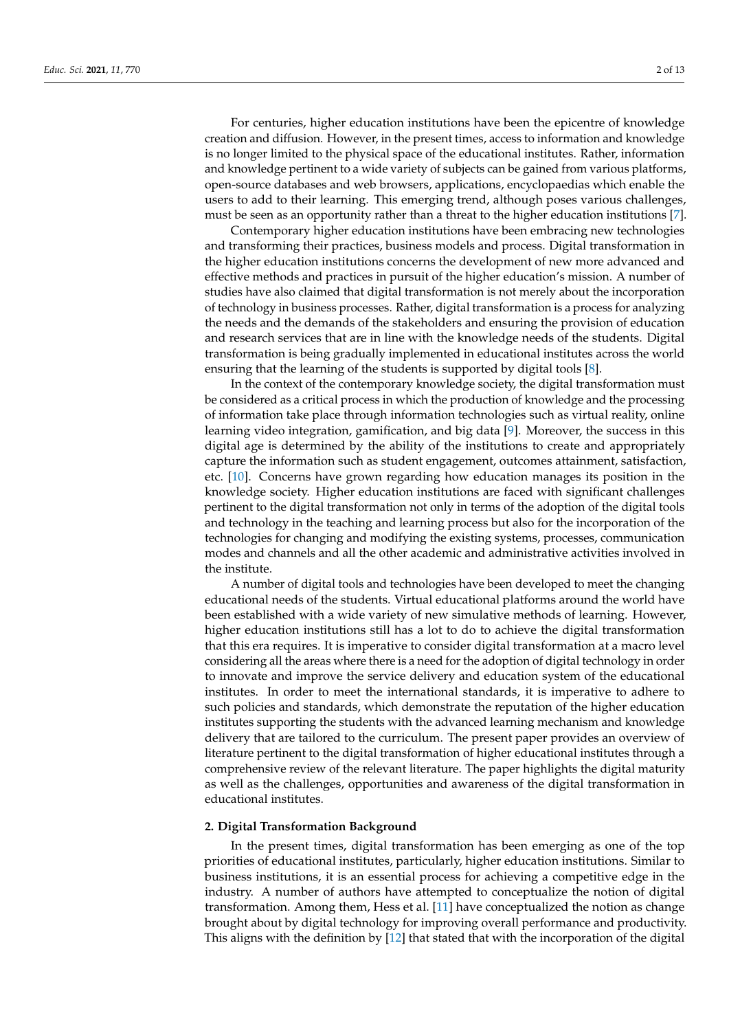For centuries, higher education institutions have been the epicentre of knowledge creation and diffusion. However, in the present times, access to information and knowledge is no longer limited to the physical space of the educational institutes. Rather, information and knowledge pertinent to a wide variety of subjects can be gained from various platforms, open-source databases and web browsers, applications, encyclopaedias which enable the users to add to their learning. This emerging trend, although poses various challenges, must be seen as an opportunity rather than a threat to the higher education institutions [\[7\]](#page-11-6).

Contemporary higher education institutions have been embracing new technologies and transforming their practices, business models and process. Digital transformation in the higher education institutions concerns the development of new more advanced and effective methods and practices in pursuit of the higher education's mission. A number of studies have also claimed that digital transformation is not merely about the incorporation of technology in business processes. Rather, digital transformation is a process for analyzing the needs and the demands of the stakeholders and ensuring the provision of education and research services that are in line with the knowledge needs of the students. Digital transformation is being gradually implemented in educational institutes across the world ensuring that the learning of the students is supported by digital tools [\[8\]](#page-11-7).

In the context of the contemporary knowledge society, the digital transformation must be considered as a critical process in which the production of knowledge and the processing of information take place through information technologies such as virtual reality, online learning video integration, gamification, and big data [\[9\]](#page-11-8). Moreover, the success in this digital age is determined by the ability of the institutions to create and appropriately capture the information such as student engagement, outcomes attainment, satisfaction, etc. [\[10\]](#page-11-9). Concerns have grown regarding how education manages its position in the knowledge society. Higher education institutions are faced with significant challenges pertinent to the digital transformation not only in terms of the adoption of the digital tools and technology in the teaching and learning process but also for the incorporation of the technologies for changing and modifying the existing systems, processes, communication modes and channels and all the other academic and administrative activities involved in the institute.

A number of digital tools and technologies have been developed to meet the changing educational needs of the students. Virtual educational platforms around the world have been established with a wide variety of new simulative methods of learning. However, higher education institutions still has a lot to do to achieve the digital transformation that this era requires. It is imperative to consider digital transformation at a macro level considering all the areas where there is a need for the adoption of digital technology in order to innovate and improve the service delivery and education system of the educational institutes. In order to meet the international standards, it is imperative to adhere to such policies and standards, which demonstrate the reputation of the higher education institutes supporting the students with the advanced learning mechanism and knowledge delivery that are tailored to the curriculum. The present paper provides an overview of literature pertinent to the digital transformation of higher educational institutes through a comprehensive review of the relevant literature. The paper highlights the digital maturity as well as the challenges, opportunities and awareness of the digital transformation in educational institutes.

### **2. Digital Transformation Background**

In the present times, digital transformation has been emerging as one of the top priorities of educational institutes, particularly, higher education institutions. Similar to business institutions, it is an essential process for achieving a competitive edge in the industry. A number of authors have attempted to conceptualize the notion of digital transformation. Among them, Hess et al. [\[11\]](#page-11-10) have conceptualized the notion as change brought about by digital technology for improving overall performance and productivity. This aligns with the definition by [\[12\]](#page-11-11) that stated that with the incorporation of the digital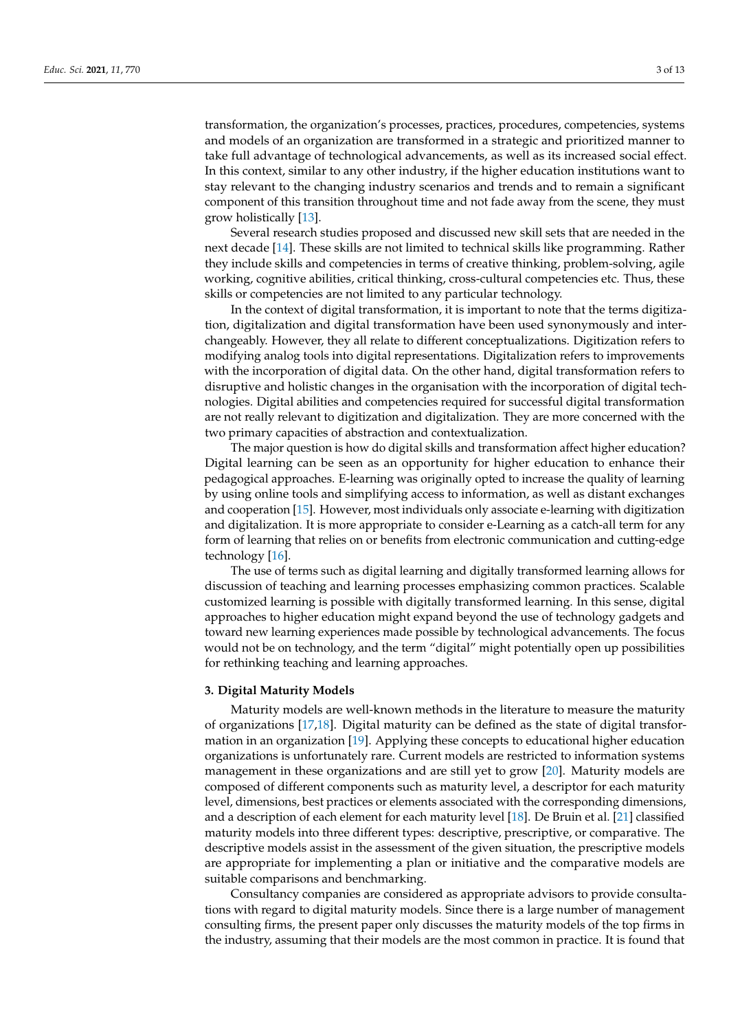transformation, the organization's processes, practices, procedures, competencies, systems and models of an organization are transformed in a strategic and prioritized manner to take full advantage of technological advancements, as well as its increased social effect. In this context, similar to any other industry, if the higher education institutions want to stay relevant to the changing industry scenarios and trends and to remain a significant component of this transition throughout time and not fade away from the scene, they must grow holistically [\[13\]](#page-11-12).

Several research studies proposed and discussed new skill sets that are needed in the next decade [\[14\]](#page-11-13). These skills are not limited to technical skills like programming. Rather they include skills and competencies in terms of creative thinking, problem-solving, agile working, cognitive abilities, critical thinking, cross-cultural competencies etc. Thus, these skills or competencies are not limited to any particular technology.

In the context of digital transformation, it is important to note that the terms digitization, digitalization and digital transformation have been used synonymously and interchangeably. However, they all relate to different conceptualizations. Digitization refers to modifying analog tools into digital representations. Digitalization refers to improvements with the incorporation of digital data. On the other hand, digital transformation refers to disruptive and holistic changes in the organisation with the incorporation of digital technologies. Digital abilities and competencies required for successful digital transformation are not really relevant to digitization and digitalization. They are more concerned with the two primary capacities of abstraction and contextualization.

The major question is how do digital skills and transformation affect higher education? Digital learning can be seen as an opportunity for higher education to enhance their pedagogical approaches. E-learning was originally opted to increase the quality of learning by using online tools and simplifying access to information, as well as distant exchanges and cooperation [\[15\]](#page-11-14). However, most individuals only associate e-learning with digitization and digitalization. It is more appropriate to consider e-Learning as a catch-all term for any form of learning that relies on or benefits from electronic communication and cutting-edge technology [\[16\]](#page-11-15).

The use of terms such as digital learning and digitally transformed learning allows for discussion of teaching and learning processes emphasizing common practices. Scalable customized learning is possible with digitally transformed learning. In this sense, digital approaches to higher education might expand beyond the use of technology gadgets and toward new learning experiences made possible by technological advancements. The focus would not be on technology, and the term "digital" might potentially open up possibilities for rethinking teaching and learning approaches.

# **3. Digital Maturity Models**

Maturity models are well-known methods in the literature to measure the maturity of organizations [\[17](#page-11-16)[,18\]](#page-11-17). Digital maturity can be defined as the state of digital transformation in an organization [\[19\]](#page-11-18). Applying these concepts to educational higher education organizations is unfortunately rare. Current models are restricted to information systems management in these organizations and are still yet to grow [\[20\]](#page-11-19). Maturity models are composed of different components such as maturity level, a descriptor for each maturity level, dimensions, best practices or elements associated with the corresponding dimensions, and a description of each element for each maturity level [\[18\]](#page-11-17). De Bruin et al. [\[21\]](#page-11-20) classified maturity models into three different types: descriptive, prescriptive, or comparative. The descriptive models assist in the assessment of the given situation, the prescriptive models are appropriate for implementing a plan or initiative and the comparative models are suitable comparisons and benchmarking.

Consultancy companies are considered as appropriate advisors to provide consultations with regard to digital maturity models. Since there is a large number of management consulting firms, the present paper only discusses the maturity models of the top firms in the industry, assuming that their models are the most common in practice. It is found that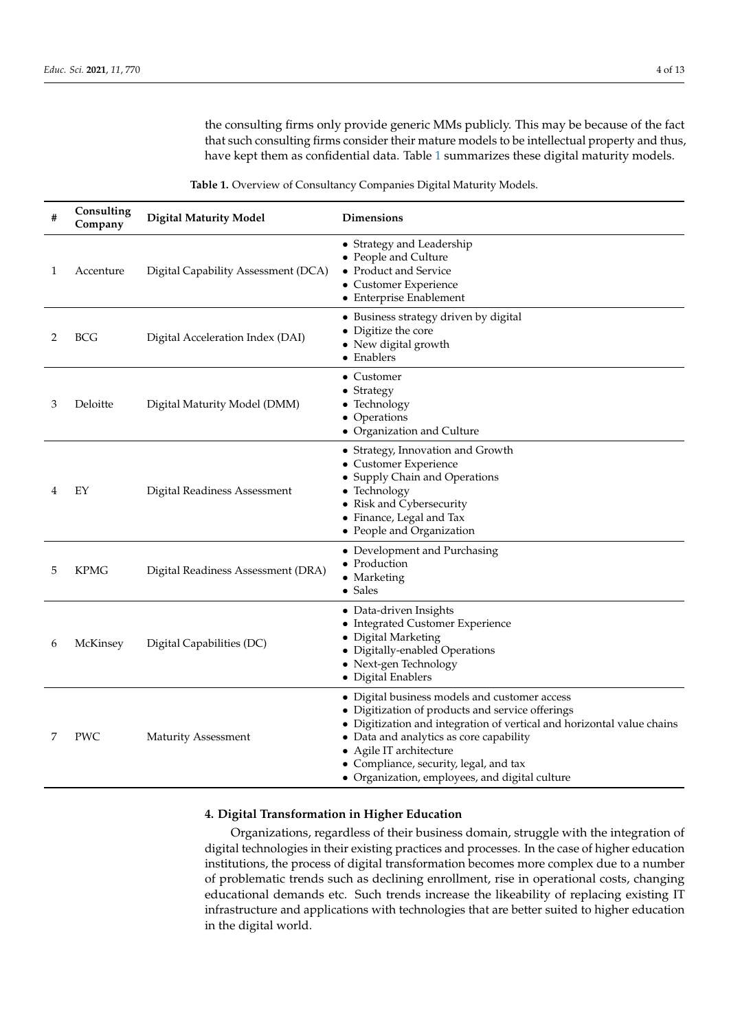the consulting firms only provide generic MMs publicly. This may be because of the fact that such consulting firms consider their mature models to be intellectual property and thus, have kept them as confidential data. Table [1](#page-3-0) summarizes these digital maturity models.

<span id="page-3-0"></span>

| # | Consulting<br>Company | <b>Digital Maturity Model</b>       | <b>Dimensions</b>                                                                                                                                                                                                                                                                                                                             |
|---|-----------------------|-------------------------------------|-----------------------------------------------------------------------------------------------------------------------------------------------------------------------------------------------------------------------------------------------------------------------------------------------------------------------------------------------|
| 1 | Accenture             | Digital Capability Assessment (DCA) | • Strategy and Leadership<br>• People and Culture<br>• Product and Service<br>• Customer Experience<br>• Enterprise Enablement                                                                                                                                                                                                                |
| 2 | <b>BCG</b>            | Digital Acceleration Index (DAI)    | • Business strategy driven by digital<br>• Digitize the core<br>• New digital growth<br>• Enablers                                                                                                                                                                                                                                            |
| 3 | Deloitte              | Digital Maturity Model (DMM)        | $\bullet$ Customer<br>$\bullet$ Strategy<br>• Technology<br>• Operations<br>• Organization and Culture                                                                                                                                                                                                                                        |
| 4 | EY                    | Digital Readiness Assessment        | • Strategy, Innovation and Growth<br>• Customer Experience<br>• Supply Chain and Operations<br>• Technology<br>• Risk and Cybersecurity<br>• Finance, Legal and Tax<br>• People and Organization                                                                                                                                              |
| 5 | <b>KPMG</b>           | Digital Readiness Assessment (DRA)  | • Development and Purchasing<br>• Production<br>• Marketing<br>$\bullet$ Sales                                                                                                                                                                                                                                                                |
| 6 | McKinsey              | Digital Capabilities (DC)           | • Data-driven Insights<br>• Integrated Customer Experience<br>• Digital Marketing<br>• Digitally-enabled Operations<br>• Next-gen Technology<br>• Digital Enablers                                                                                                                                                                            |
| 7 | <b>PWC</b>            | <b>Maturity Assessment</b>          | • Digital business models and customer access<br>• Digitization of products and service offerings<br>• Digitization and integration of vertical and horizontal value chains<br>• Data and analytics as core capability<br>• Agile IT architecture<br>• Compliance, security, legal, and tax<br>• Organization, employees, and digital culture |

# **4. Digital Transformation in Higher Education**

Organizations, regardless of their business domain, struggle with the integration of digital technologies in their existing practices and processes. In the case of higher education institutions, the process of digital transformation becomes more complex due to a number of problematic trends such as declining enrollment, rise in operational costs, changing educational demands etc. Such trends increase the likeability of replacing existing IT infrastructure and applications with technologies that are better suited to higher education in the digital world.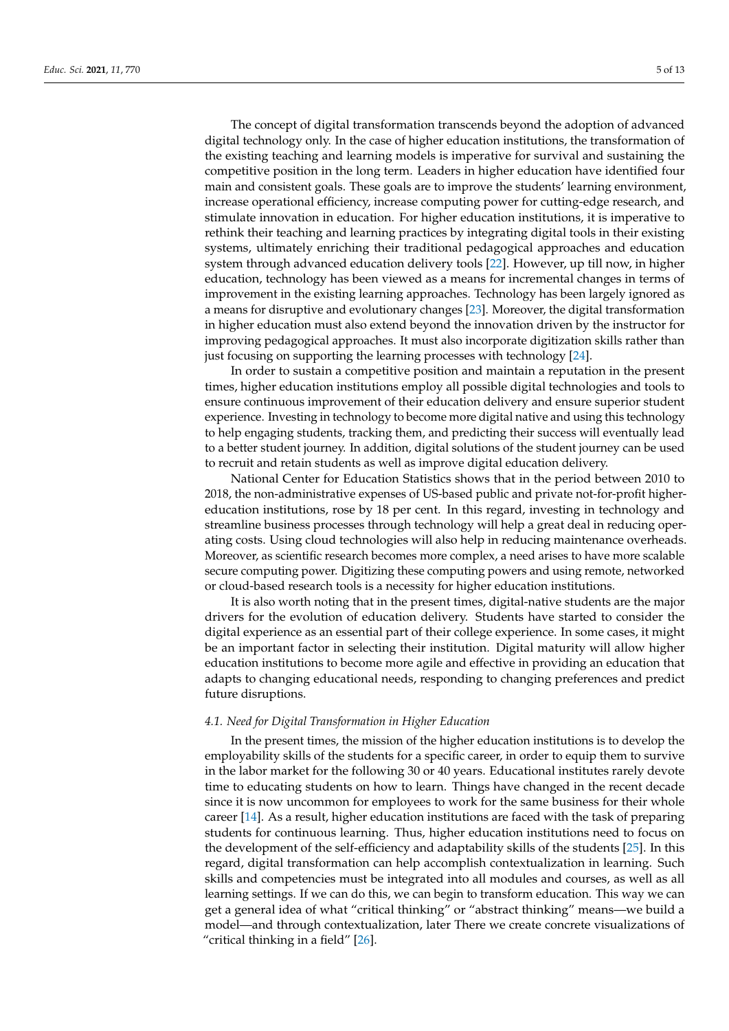The concept of digital transformation transcends beyond the adoption of advanced digital technology only. In the case of higher education institutions, the transformation of the existing teaching and learning models is imperative for survival and sustaining the competitive position in the long term. Leaders in higher education have identified four main and consistent goals. These goals are to improve the students' learning environment, increase operational efficiency, increase computing power for cutting-edge research, and stimulate innovation in education. For higher education institutions, it is imperative to rethink their teaching and learning practices by integrating digital tools in their existing systems, ultimately enriching their traditional pedagogical approaches and education system through advanced education delivery tools [\[22\]](#page-11-21). However, up till now, in higher education, technology has been viewed as a means for incremental changes in terms of improvement in the existing learning approaches. Technology has been largely ignored as a means for disruptive and evolutionary changes [\[23\]](#page-11-22). Moreover, the digital transformation in higher education must also extend beyond the innovation driven by the instructor for improving pedagogical approaches. It must also incorporate digitization skills rather than just focusing on supporting the learning processes with technology [\[24\]](#page-11-23).

In order to sustain a competitive position and maintain a reputation in the present times, higher education institutions employ all possible digital technologies and tools to ensure continuous improvement of their education delivery and ensure superior student experience. Investing in technology to become more digital native and using this technology to help engaging students, tracking them, and predicting their success will eventually lead to a better student journey. In addition, digital solutions of the student journey can be used to recruit and retain students as well as improve digital education delivery.

National Center for Education Statistics shows that in the period between 2010 to 2018, the non-administrative expenses of US-based public and private not-for-profit highereducation institutions, rose by 18 per cent. In this regard, investing in technology and streamline business processes through technology will help a great deal in reducing operating costs. Using cloud technologies will also help in reducing maintenance overheads. Moreover, as scientific research becomes more complex, a need arises to have more scalable secure computing power. Digitizing these computing powers and using remote, networked or cloud-based research tools is a necessity for higher education institutions.

It is also worth noting that in the present times, digital-native students are the major drivers for the evolution of education delivery. Students have started to consider the digital experience as an essential part of their college experience. In some cases, it might be an important factor in selecting their institution. Digital maturity will allow higher education institutions to become more agile and effective in providing an education that adapts to changing educational needs, responding to changing preferences and predict future disruptions.

## *4.1. Need for Digital Transformation in Higher Education*

In the present times, the mission of the higher education institutions is to develop the employability skills of the students for a specific career, in order to equip them to survive in the labor market for the following 30 or 40 years. Educational institutes rarely devote time to educating students on how to learn. Things have changed in the recent decade since it is now uncommon for employees to work for the same business for their whole career [\[14\]](#page-11-13). As a result, higher education institutions are faced with the task of preparing students for continuous learning. Thus, higher education institutions need to focus on the development of the self-efficiency and adaptability skills of the students [\[25\]](#page-11-24). In this regard, digital transformation can help accomplish contextualization in learning. Such skills and competencies must be integrated into all modules and courses, as well as all learning settings. If we can do this, we can begin to transform education. This way we can get a general idea of what "critical thinking" or "abstract thinking" means—we build a model—and through contextualization, later There we create concrete visualizations of "critical thinking in a field" [\[26\]](#page-11-25).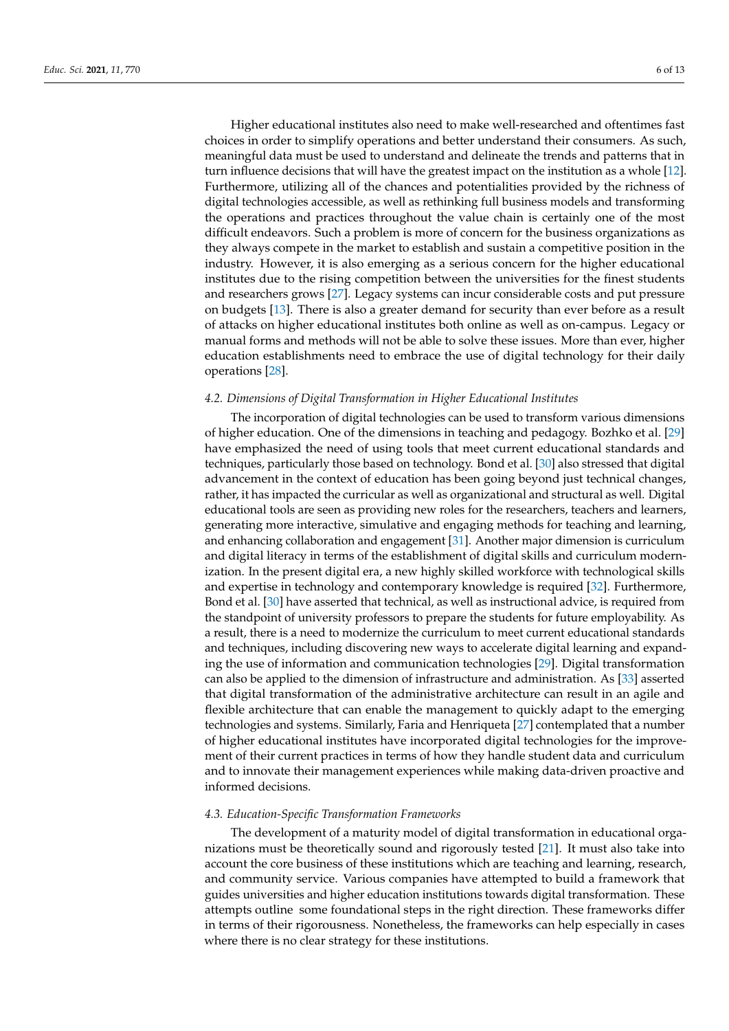Higher educational institutes also need to make well-researched and oftentimes fast choices in order to simplify operations and better understand their consumers. As such, meaningful data must be used to understand and delineate the trends and patterns that in turn influence decisions that will have the greatest impact on the institution as a whole [\[12\]](#page-11-11). Furthermore, utilizing all of the chances and potentialities provided by the richness of digital technologies accessible, as well as rethinking full business models and transforming the operations and practices throughout the value chain is certainly one of the most difficult endeavors. Such a problem is more of concern for the business organizations as they always compete in the market to establish and sustain a competitive position in the industry. However, it is also emerging as a serious concern for the higher educational institutes due to the rising competition between the universities for the finest students and researchers grows [\[27\]](#page-11-26). Legacy systems can incur considerable costs and put pressure on budgets [\[13\]](#page-11-12). There is also a greater demand for security than ever before as a result of attacks on higher educational institutes both online as well as on-campus. Legacy or manual forms and methods will not be able to solve these issues. More than ever, higher education establishments need to embrace the use of digital technology for their daily operations [\[28\]](#page-11-27).

## *4.2. Dimensions of Digital Transformation in Higher Educational Institutes*

The incorporation of digital technologies can be used to transform various dimensions of higher education. One of the dimensions in teaching and pedagogy. Bozhko et al. [\[29\]](#page-12-0) have emphasized the need of using tools that meet current educational standards and techniques, particularly those based on technology. Bond et al. [\[30\]](#page-12-1) also stressed that digital advancement in the context of education has been going beyond just technical changes, rather, it has impacted the curricular as well as organizational and structural as well. Digital educational tools are seen as providing new roles for the researchers, teachers and learners, generating more interactive, simulative and engaging methods for teaching and learning, and enhancing collaboration and engagement [\[31\]](#page-12-2). Another major dimension is curriculum and digital literacy in terms of the establishment of digital skills and curriculum modernization. In the present digital era, a new highly skilled workforce with technological skills and expertise in technology and contemporary knowledge is required [\[32\]](#page-12-3). Furthermore, Bond et al. [\[30\]](#page-12-1) have asserted that technical, as well as instructional advice, is required from the standpoint of university professors to prepare the students for future employability. As a result, there is a need to modernize the curriculum to meet current educational standards and techniques, including discovering new ways to accelerate digital learning and expanding the use of information and communication technologies [\[29\]](#page-12-0). Digital transformation can also be applied to the dimension of infrastructure and administration. As [\[33\]](#page-12-4) asserted that digital transformation of the administrative architecture can result in an agile and flexible architecture that can enable the management to quickly adapt to the emerging technologies and systems. Similarly, Faria and Henriqueta [\[27\]](#page-11-26) contemplated that a number of higher educational institutes have incorporated digital technologies for the improvement of their current practices in terms of how they handle student data and curriculum and to innovate their management experiences while making data-driven proactive and informed decisions.

#### *4.3. Education-Specific Transformation Frameworks*

The development of a maturity model of digital transformation in educational organizations must be theoretically sound and rigorously tested [\[21\]](#page-11-20). It must also take into account the core business of these institutions which are teaching and learning, research, and community service. Various companies have attempted to build a framework that guides universities and higher education institutions towards digital transformation. These attempts outline some foundational steps in the right direction. These frameworks differ in terms of their rigorousness. Nonetheless, the frameworks can help especially in cases where there is no clear strategy for these institutions.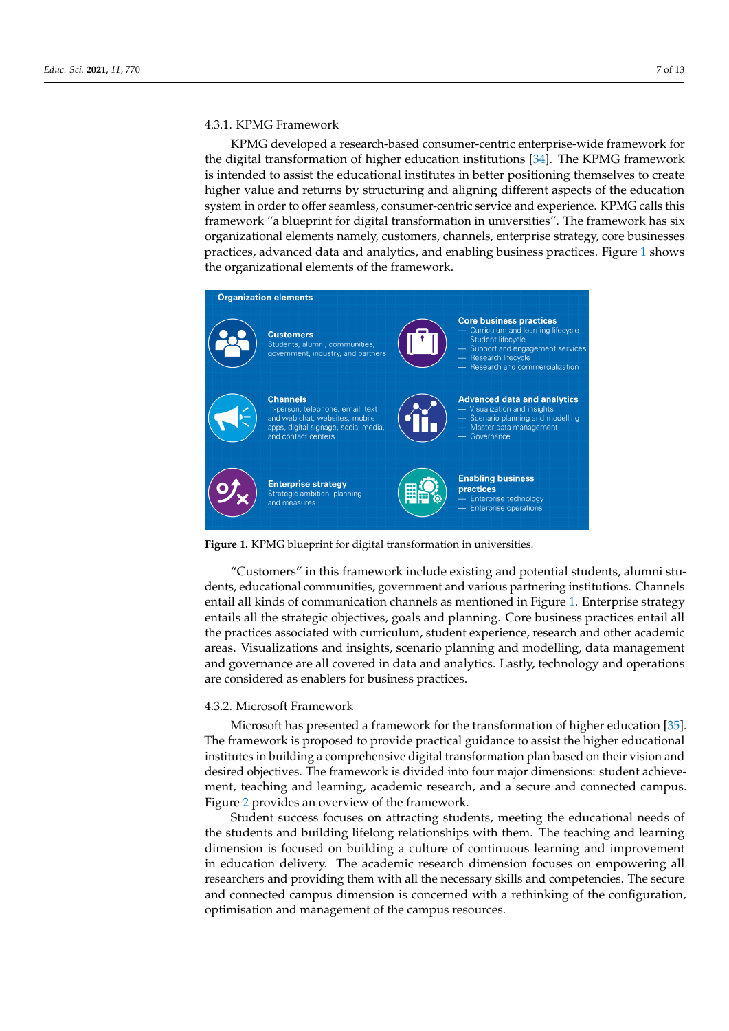## 4.3.1. KPMG Framework

KPMG developed a research-based consumer-centric enterprise-wide framework for the digital transformation of higher education institutions [\[34\]](#page-12-5). The KPMG framework is intended to assist the educational institutes in better positioning themselves to create higher value and returns by structuring and aligning different aspects of the education system in order to offer seamless, consumer-centric service and experience. KPMG calls this framework "a blueprint for digital transformation in universities". The framework has six organizational elements namely, customers, channels, enterprise strategy, core businesses practices, advanced data and analytics, and enabling business practices. Figure [1](#page-6-0) shows the organizational elements of the framework.

<span id="page-6-0"></span>

**Figure 1.** KPMG blueprint for digital transformation in universities.

"Customers" in this framework include existing and potential students, alumni students, educational communities, government and various partnering institutions. Channels entail all kinds of communication channels as mentioned in Figure [1.](#page-6-0) Enterprise strategy entails all the strategic objectives, goals and planning. Core business practices entail all the practices associated with curriculum, student experience, research and other academic areas. Visualizations and insights, scenario planning and modelling, data management and governance are all covered in data and analytics. Lastly, technology and operations are considered as enablers for business practices.

#### 4.3.2. Microsoft Framework

Microsoft has presented a framework for the transformation of higher education [\[35\]](#page-12-6). The framework is proposed to provide practical guidance to assist the higher educational institutes in building a comprehensive digital transformation plan based on their vision and desired objectives. The framework is divided into four major dimensions: student achievement, teaching and learning, academic research, and a secure and connected campus. Figure [2](#page-7-0) provides an overview of the framework.

Student success focuses on attracting students, meeting the educational needs of the students and building lifelong relationships with them. The teaching and learning dimension is focused on building a culture of continuous learning and improvement in education delivery. The academic research dimension focuses on empowering all researchers and providing them with all the necessary skills and competencies. The secure and connected campus dimension is concerned with a rethinking of the configuration, optimisation and management of the campus resources.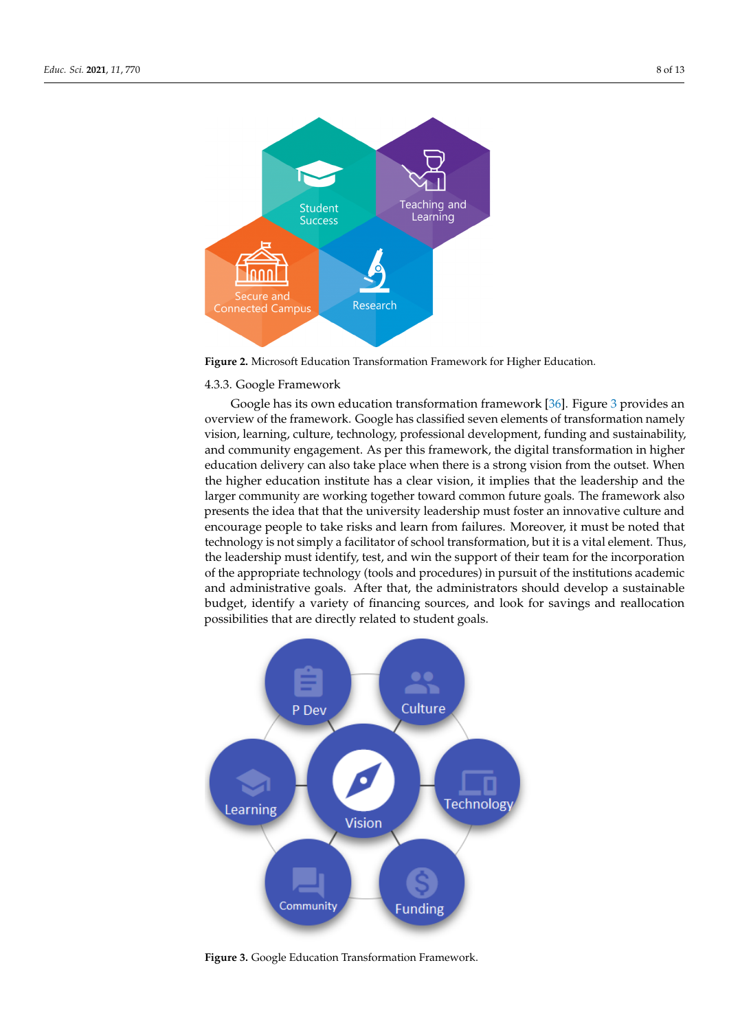<span id="page-7-0"></span>

**Figure 2.** Microsoft Education Transformation Framework for Higher Education.

## 4.3.3. Google Framework

Google has its own education transformation framework [\[36\]](#page-12-7). Figure [3](#page-7-1) provides an overview of the framework. Google has classified seven elements of transformation namely vision, learning, culture, technology, professional development, funding and sustainability, and community engagement. As per this framework, the digital transformation in higher education delivery can also take place when there is a strong vision from the outset. When the higher education institute has a clear vision, it implies that the leadership and the larger community are working together toward common future goals. The framework also presents the idea that that the university leadership must foster an innovative culture and encourage people to take risks and learn from failures. Moreover, it must be noted that technology is not simply a facilitator of school transformation, but it is a vital element. Thus, the leadership must identify, test, and win the support of their team for the incorporation of the appropriate technology (tools and procedures) in pursuit of the institutions academic and administrative goals. After that, the administrators should develop a sustainable budget, identify a variety of financing sources, and look for savings and reallocation possibilities that are directly related to student goals.

<span id="page-7-1"></span>

**Figure 3.** Google Education Transformation Framework.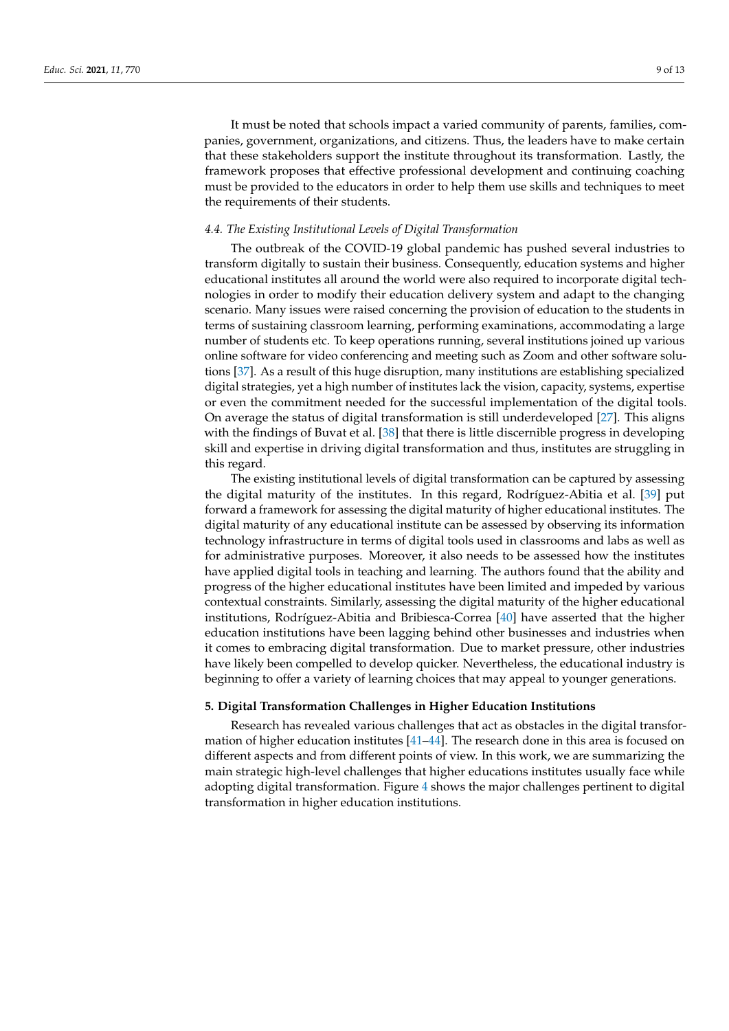It must be noted that schools impact a varied community of parents, families, companies, government, organizations, and citizens. Thus, the leaders have to make certain that these stakeholders support the institute throughout its transformation. Lastly, the framework proposes that effective professional development and continuing coaching must be provided to the educators in order to help them use skills and techniques to meet the requirements of their students.

## *4.4. The Existing Institutional Levels of Digital Transformation*

The outbreak of the COVID-19 global pandemic has pushed several industries to transform digitally to sustain their business. Consequently, education systems and higher educational institutes all around the world were also required to incorporate digital technologies in order to modify their education delivery system and adapt to the changing scenario. Many issues were raised concerning the provision of education to the students in terms of sustaining classroom learning, performing examinations, accommodating a large number of students etc. To keep operations running, several institutions joined up various online software for video conferencing and meeting such as Zoom and other software solutions [\[37\]](#page-12-8). As a result of this huge disruption, many institutions are establishing specialized digital strategies, yet a high number of institutes lack the vision, capacity, systems, expertise or even the commitment needed for the successful implementation of the digital tools. On average the status of digital transformation is still underdeveloped [\[27\]](#page-11-26). This aligns with the findings of Buvat et al. [\[38\]](#page-12-9) that there is little discernible progress in developing skill and expertise in driving digital transformation and thus, institutes are struggling in this regard.

The existing institutional levels of digital transformation can be captured by assessing the digital maturity of the institutes. In this regard, Rodríguez-Abitia et al. [\[39\]](#page-12-10) put forward a framework for assessing the digital maturity of higher educational institutes. The digital maturity of any educational institute can be assessed by observing its information technology infrastructure in terms of digital tools used in classrooms and labs as well as for administrative purposes. Moreover, it also needs to be assessed how the institutes have applied digital tools in teaching and learning. The authors found that the ability and progress of the higher educational institutes have been limited and impeded by various contextual constraints. Similarly, assessing the digital maturity of the higher educational institutions, Rodríguez-Abitia and Bribiesca-Correa [\[40\]](#page-12-11) have asserted that the higher education institutions have been lagging behind other businesses and industries when it comes to embracing digital transformation. Due to market pressure, other industries have likely been compelled to develop quicker. Nevertheless, the educational industry is beginning to offer a variety of learning choices that may appeal to younger generations.

#### **5. Digital Transformation Challenges in Higher Education Institutions**

Research has revealed various challenges that act as obstacles in the digital transformation of higher education institutes [\[41](#page-12-12)[–44\]](#page-12-13). The research done in this area is focused on different aspects and from different points of view. In this work, we are summarizing the main strategic high-level challenges that higher educations institutes usually face while adopting digital transformation. Figure [4](#page-9-0) shows the major challenges pertinent to digital transformation in higher education institutions.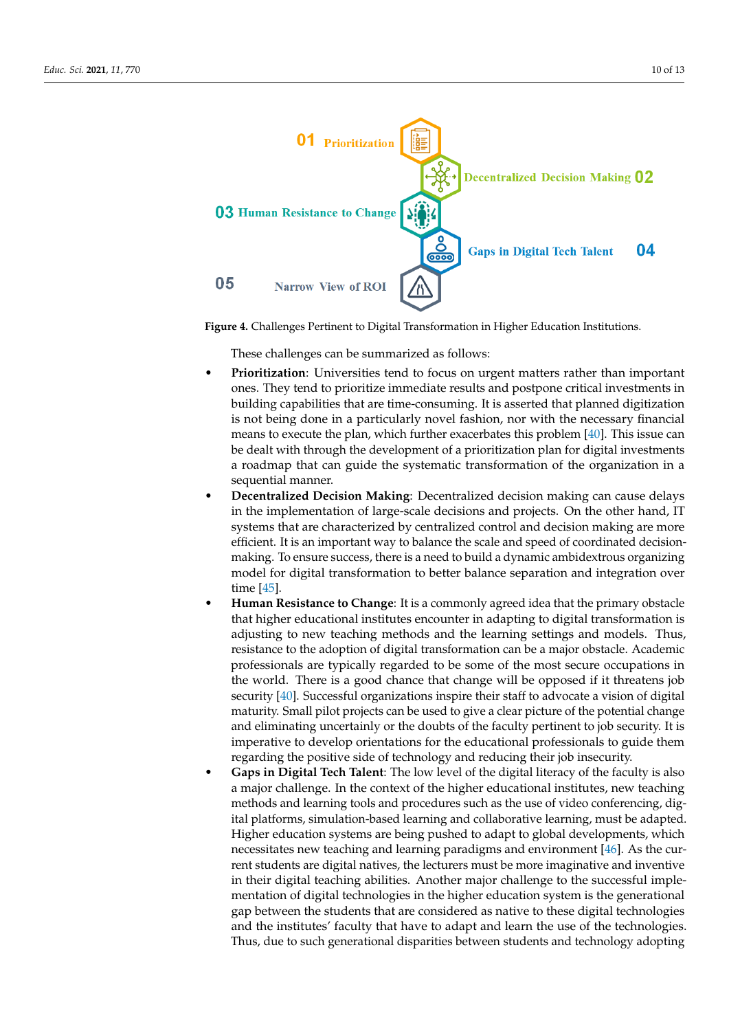<span id="page-9-0"></span>

**Figure 4.** Challenges Pertinent to Digital Transformation in Higher Education Institutions.

These challenges can be summarized as follows:

- **Prioritization**: Universities tend to focus on urgent matters rather than important ones. They tend to prioritize immediate results and postpone critical investments in building capabilities that are time-consuming. It is asserted that planned digitization is not being done in a particularly novel fashion, nor with the necessary financial means to execute the plan, which further exacerbates this problem [\[40\]](#page-12-11). This issue can be dealt with through the development of a prioritization plan for digital investments a roadmap that can guide the systematic transformation of the organization in a sequential manner.
- **Decentralized Decision Making**: Decentralized decision making can cause delays in the implementation of large-scale decisions and projects. On the other hand, IT systems that are characterized by centralized control and decision making are more efficient. It is an important way to balance the scale and speed of coordinated decisionmaking. To ensure success, there is a need to build a dynamic ambidextrous organizing model for digital transformation to better balance separation and integration over time [\[45\]](#page-12-14).
- **Human Resistance to Change**: It is a commonly agreed idea that the primary obstacle that higher educational institutes encounter in adapting to digital transformation is adjusting to new teaching methods and the learning settings and models. Thus, resistance to the adoption of digital transformation can be a major obstacle. Academic professionals are typically regarded to be some of the most secure occupations in the world. There is a good chance that change will be opposed if it threatens job security [\[40\]](#page-12-11). Successful organizations inspire their staff to advocate a vision of digital maturity. Small pilot projects can be used to give a clear picture of the potential change and eliminating uncertainly or the doubts of the faculty pertinent to job security. It is imperative to develop orientations for the educational professionals to guide them regarding the positive side of technology and reducing their job insecurity.
- **Gaps in Digital Tech Talent**: The low level of the digital literacy of the faculty is also a major challenge. In the context of the higher educational institutes, new teaching methods and learning tools and procedures such as the use of video conferencing, digital platforms, simulation-based learning and collaborative learning, must be adapted. Higher education systems are being pushed to adapt to global developments, which necessitates new teaching and learning paradigms and environment [\[46\]](#page-12-15). As the current students are digital natives, the lecturers must be more imaginative and inventive in their digital teaching abilities. Another major challenge to the successful implementation of digital technologies in the higher education system is the generational gap between the students that are considered as native to these digital technologies and the institutes' faculty that have to adapt and learn the use of the technologies. Thus, due to such generational disparities between students and technology adopting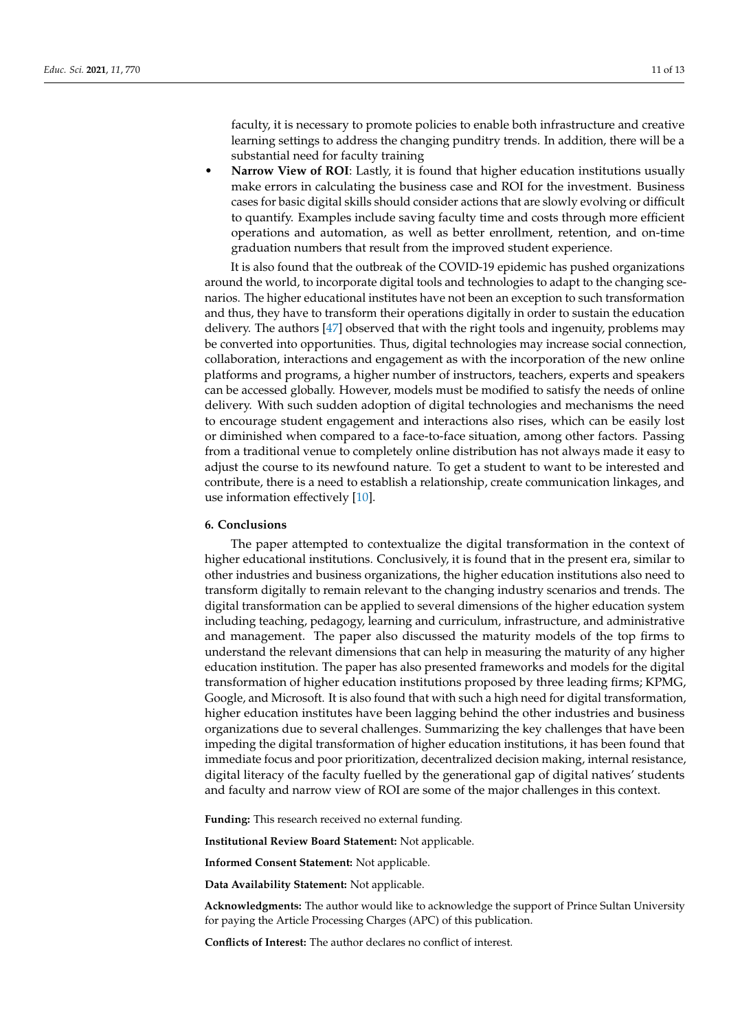faculty, it is necessary to promote policies to enable both infrastructure and creative learning settings to address the changing punditry trends. In addition, there will be a substantial need for faculty training

• **Narrow View of ROI**: Lastly, it is found that higher education institutions usually make errors in calculating the business case and ROI for the investment. Business cases for basic digital skills should consider actions that are slowly evolving or difficult to quantify. Examples include saving faculty time and costs through more efficient operations and automation, as well as better enrollment, retention, and on-time graduation numbers that result from the improved student experience.

It is also found that the outbreak of the COVID-19 epidemic has pushed organizations around the world, to incorporate digital tools and technologies to adapt to the changing scenarios. The higher educational institutes have not been an exception to such transformation and thus, they have to transform their operations digitally in order to sustain the education delivery. The authors [\[47\]](#page-12-16) observed that with the right tools and ingenuity, problems may be converted into opportunities. Thus, digital technologies may increase social connection, collaboration, interactions and engagement as with the incorporation of the new online platforms and programs, a higher number of instructors, teachers, experts and speakers can be accessed globally. However, models must be modified to satisfy the needs of online delivery. With such sudden adoption of digital technologies and mechanisms the need to encourage student engagement and interactions also rises, which can be easily lost or diminished when compared to a face-to-face situation, among other factors. Passing from a traditional venue to completely online distribution has not always made it easy to adjust the course to its newfound nature. To get a student to want to be interested and contribute, there is a need to establish a relationship, create communication linkages, and use information effectively [\[10\]](#page-11-9).

### **6. Conclusions**

The paper attempted to contextualize the digital transformation in the context of higher educational institutions. Conclusively, it is found that in the present era, similar to other industries and business organizations, the higher education institutions also need to transform digitally to remain relevant to the changing industry scenarios and trends. The digital transformation can be applied to several dimensions of the higher education system including teaching, pedagogy, learning and curriculum, infrastructure, and administrative and management. The paper also discussed the maturity models of the top firms to understand the relevant dimensions that can help in measuring the maturity of any higher education institution. The paper has also presented frameworks and models for the digital transformation of higher education institutions proposed by three leading firms; KPMG, Google, and Microsoft. It is also found that with such a high need for digital transformation, higher education institutes have been lagging behind the other industries and business organizations due to several challenges. Summarizing the key challenges that have been impeding the digital transformation of higher education institutions, it has been found that immediate focus and poor prioritization, decentralized decision making, internal resistance, digital literacy of the faculty fuelled by the generational gap of digital natives' students and faculty and narrow view of ROI are some of the major challenges in this context.

**Funding:** This research received no external funding.

**Institutional Review Board Statement:** Not applicable.

**Informed Consent Statement:** Not applicable.

**Data Availability Statement:** Not applicable.

**Acknowledgments:** The author would like to acknowledge the support of Prince Sultan University for paying the Article Processing Charges (APC) of this publication.

**Conflicts of Interest:** The author declares no conflict of interest.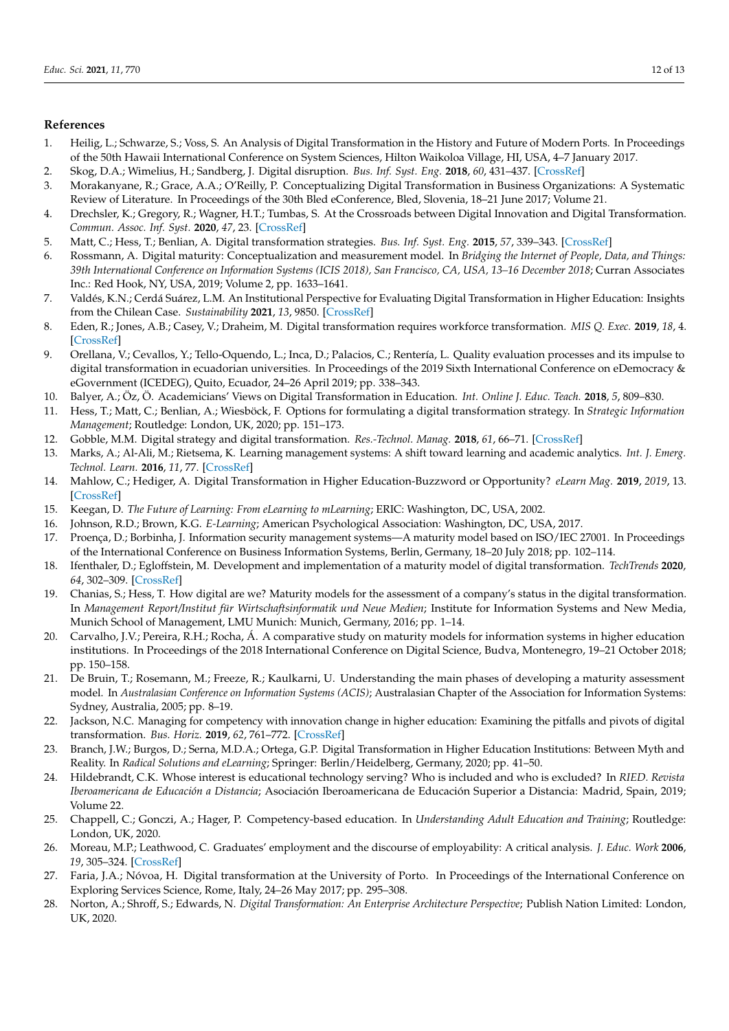## **References**

- <span id="page-11-0"></span>1. Heilig, L.; Schwarze, S.; Voss, S. An Analysis of Digital Transformation in the History and Future of Modern Ports. In Proceedings of the 50th Hawaii International Conference on System Sciences, Hilton Waikoloa Village, HI, USA, 4–7 January 2017.
- <span id="page-11-1"></span>2. Skog, D.A.; Wimelius, H.; Sandberg, J. Digital disruption. *Bus. Inf. Syst. Eng.* **2018**, *60*, 431–437. [\[CrossRef\]](http://doi.org/10.1007/s12599-018-0550-4)
- <span id="page-11-2"></span>3. Morakanyane, R.; Grace, A.A.; O'Reilly, P. Conceptualizing Digital Transformation in Business Organizations: A Systematic Review of Literature. In Proceedings of the 30th Bled eConference, Bled, Slovenia, 18–21 June 2017; Volume 21.
- <span id="page-11-3"></span>4. Drechsler, K.; Gregory, R.; Wagner, H.T.; Tumbas, S. At the Crossroads between Digital Innovation and Digital Transformation. *Commun. Assoc. Inf. Syst.* **2020**, *47*, 23. [\[CrossRef\]](http://dx.doi.org/10.17705/1CAIS.04723)
- <span id="page-11-4"></span>5. Matt, C.; Hess, T.; Benlian, A. Digital transformation strategies. *Bus. Inf. Syst. Eng.* **2015**, *57*, 339–343. [\[CrossRef\]](http://dx.doi.org/10.1007/s12599-015-0401-5)
- <span id="page-11-5"></span>6. Rossmann, A. Digital maturity: Conceptualization and measurement model. In *Bridging the Internet of People, Data, and Things: 39th International Conference on Information Systems (ICIS 2018), San Francisco, CA, USA, 13–16 December 2018*; Curran Associates Inc.: Red Hook, NY, USA, 2019; Volume 2, pp. 1633–1641.
- <span id="page-11-6"></span>7. Valdés, K.N.; Cerdá Suárez, L.M. An Institutional Perspective for Evaluating Digital Transformation in Higher Education: Insights from the Chilean Case. *Sustainability* **2021**, *13*, 9850. [\[CrossRef\]](http://dx.doi.org/10.3390/su13179850)
- <span id="page-11-7"></span>8. Eden, R.; Jones, A.B.; Casey, V.; Draheim, M. Digital transformation requires workforce transformation. *MIS Q. Exec.* **2019**, *18*, 4. [\[CrossRef\]](http://dx.doi.org/10.17705/2msqe.00005)
- <span id="page-11-8"></span>9. Orellana, V.; Cevallos, Y.; Tello-Oquendo, L.; Inca, D.; Palacios, C.; Rentería, L. Quality evaluation processes and its impulse to digital transformation in ecuadorian universities. In Proceedings of the 2019 Sixth International Conference on eDemocracy & eGovernment (ICEDEG), Quito, Ecuador, 24–26 April 2019; pp. 338–343.
- <span id="page-11-9"></span>10. Balyer, A.; Öz, Ö. Academicians' Views on Digital Transformation in Education. *Int. Online J. Educ. Teach.* **2018**, *5*, 809–830.
- <span id="page-11-10"></span>11. Hess, T.; Matt, C.; Benlian, A.; Wiesböck, F. Options for formulating a digital transformation strategy. In *Strategic Information Management*; Routledge: London, UK, 2020; pp. 151–173.
- <span id="page-11-11"></span>12. Gobble, M.M. Digital strategy and digital transformation. *Res.-Technol. Manag.* **2018**, *61*, 66–71. [\[CrossRef\]](http://dx.doi.org/10.1080/08956308.2018.1495969)
- <span id="page-11-12"></span>13. Marks, A.; Al-Ali, M.; Rietsema, K. Learning management systems: A shift toward learning and academic analytics. *Int. J. Emerg. Technol. Learn.* **2016**, *11*, 77. [\[CrossRef\]](http://dx.doi.org/10.3991/ijet.v11i04.5419)
- <span id="page-11-13"></span>14. Mahlow, C.; Hediger, A. Digital Transformation in Higher Education-Buzzword or Opportunity? *eLearn Mag.* **2019**, *2019*, 13. [\[CrossRef\]](http://dx.doi.org/10.1145/3329488/3331171)
- <span id="page-11-14"></span>15. Keegan, D. *The Future of Learning: From eLearning to mLearning*; ERIC: Washington, DC, USA, 2002.
- <span id="page-11-15"></span>16. Johnson, R.D.; Brown, K.G. *E-Learning*; American Psychological Association: Washington, DC, USA, 2017.
- <span id="page-11-16"></span>17. Proença, D.; Borbinha, J. Information security management systems—A maturity model based on ISO/IEC 27001. In Proceedings of the International Conference on Business Information Systems, Berlin, Germany, 18–20 July 2018; pp. 102–114.
- <span id="page-11-17"></span>18. Ifenthaler, D.; Egloffstein, M. Development and implementation of a maturity model of digital transformation. *TechTrends* **2020**, *64*, 302–309. [\[CrossRef\]](http://dx.doi.org/10.1007/s11528-019-00457-4)
- <span id="page-11-18"></span>19. Chanias, S.; Hess, T. How digital are we? Maturity models for the assessment of a company's status in the digital transformation. In *Management Report/Institut für Wirtschaftsinformatik und Neue Medien*; Institute for Information Systems and New Media, Munich School of Management, LMU Munich: Munich, Germany, 2016; pp. 1–14.
- <span id="page-11-19"></span>20. Carvalho, J.V.; Pereira, R.H.; Rocha, Á. A comparative study on maturity models for information systems in higher education institutions. In Proceedings of the 2018 International Conference on Digital Science, Budva, Montenegro, 19–21 October 2018; pp. 150–158.
- <span id="page-11-20"></span>21. De Bruin, T.; Rosemann, M.; Freeze, R.; Kaulkarni, U. Understanding the main phases of developing a maturity assessment model. In *Australasian Conference on Information Systems (ACIS)*; Australasian Chapter of the Association for Information Systems: Sydney, Australia, 2005; pp. 8–19.
- <span id="page-11-21"></span>22. Jackson, N.C. Managing for competency with innovation change in higher education: Examining the pitfalls and pivots of digital transformation. *Bus. Horiz.* **2019**, *62*, 761–772. [\[CrossRef\]](http://dx.doi.org/10.1016/j.bushor.2019.08.002)
- <span id="page-11-22"></span>23. Branch, J.W.; Burgos, D.; Serna, M.D.A.; Ortega, G.P. Digital Transformation in Higher Education Institutions: Between Myth and Reality. In *Radical Solutions and eLearning*; Springer: Berlin/Heidelberg, Germany, 2020; pp. 41–50.
- <span id="page-11-23"></span>24. Hildebrandt, C.K. Whose interest is educational technology serving? Who is included and who is excluded? In *RIED. Revista Iberoamericana de Educación a Distancia*; Asociación Iberoamericana de Educación Superior a Distancia: Madrid, Spain, 2019; Volume 22.
- <span id="page-11-24"></span>25. Chappell, C.; Gonczi, A.; Hager, P. Competency-based education. In *Understanding Adult Education and Training*; Routledge: London, UK, 2020.
- <span id="page-11-25"></span>26. Moreau, M.P.; Leathwood, C. Graduates' employment and the discourse of employability: A critical analysis. *J. Educ. Work* **2006**, *19*, 305–324. [\[CrossRef\]](http://dx.doi.org/10.1080/13639080600867083)
- <span id="page-11-26"></span>27. Faria, J.A.; Nóvoa, H. Digital transformation at the University of Porto. In Proceedings of the International Conference on Exploring Services Science, Rome, Italy, 24–26 May 2017; pp. 295–308.
- <span id="page-11-27"></span>28. Norton, A.; Shroff, S.; Edwards, N. *Digital Transformation: An Enterprise Architecture Perspective*; Publish Nation Limited: London, UK, 2020.